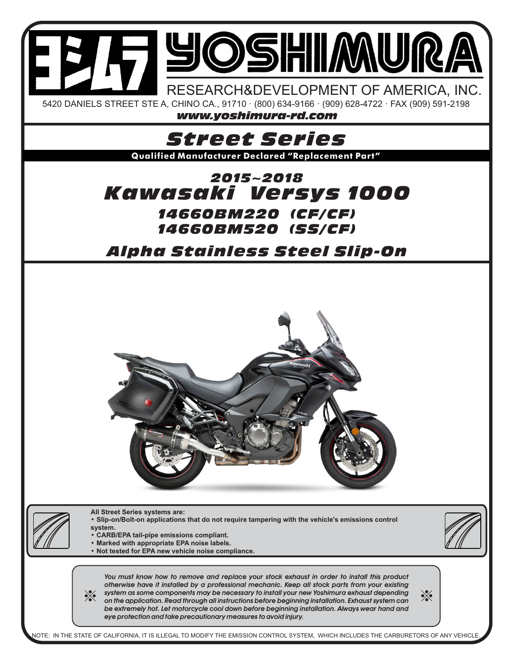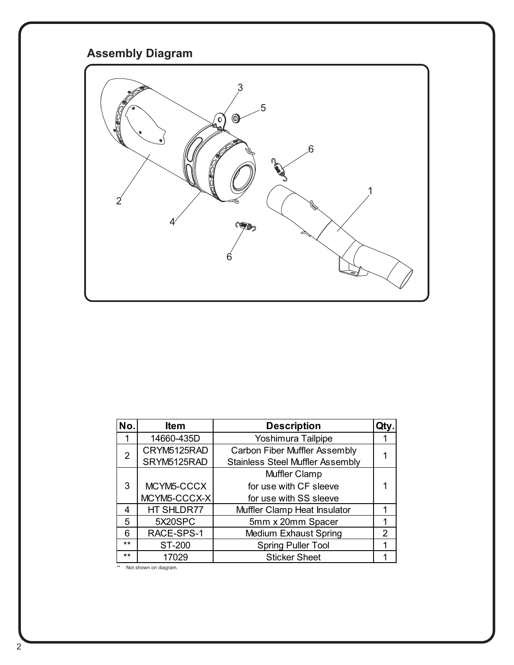## **Assembly Diagram**



| No.   | <b>Item</b>  | <b>Description</b>                      | Qtv            |
|-------|--------------|-----------------------------------------|----------------|
| 1     | 14660-435D   | Yoshimura Tailpipe                      |                |
| 2     | CRYM5125RAD  | <b>Carbon Fiber Muffler Assembly</b>    |                |
|       | SRYM5125RAD  | <b>Stainless Steel Muffler Assembly</b> |                |
|       |              | Muffler Clamp                           |                |
| 3     | MCYM5-CCCX   | for use with CF sleeve                  |                |
|       | MCYM5-CCCX-X | for use with SS sleeve                  |                |
| 4     | HT SHLDR77   | Muffler Clamp Heat Insulator            |                |
| 5     | 5X20SPC      | 5mm x 20mm Spacer                       | 1              |
| 6     | RACE-SPS-1   | Medium Exhaust Spring                   | $\overline{2}$ |
| $***$ | ST-200       | <b>Spring Puller Tool</b>               |                |
| $***$ | 17029        | <b>Sticker Sheet</b>                    |                |

\*\* Not shown on diagram.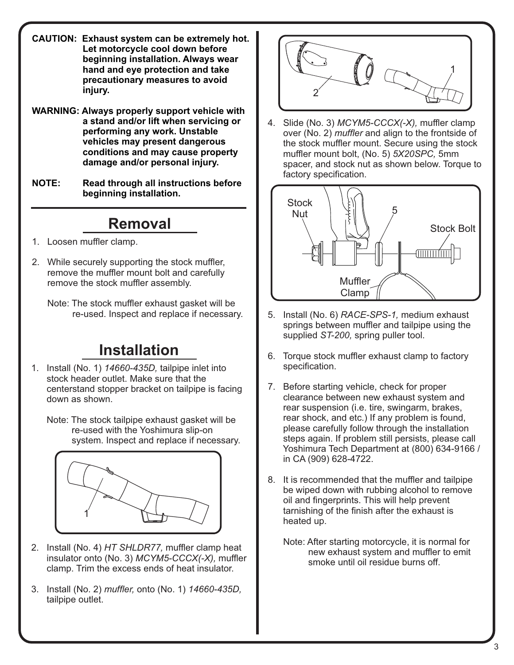- **CAUTION: Exhaust system can be extremely hot. Let motorcycle cool down before beginning installation. Always wear hand and eye protection and take precautionary measures to avoid injury.**
- **WARNING: Always properly support vehicle with a stand and/or lift when servicing or performing any work. Unstable vehicles may present dangerous conditions and may cause property damage and/or personal injury.**
- **NOTE: Read through all instructions before beginning installation.**

## **Removal**

- 1. Loosen muffler clamp.
- 2. While securely supporting the stock muffler, remove the muffler mount bolt and carefully remove the stock muffler assembly.

 Note: The stock muffler exhaust gasket will be re-used. Inspect and replace if necessary.

## **Installation**

1. Install (No. 1) *14660-435D,* tailpipe inlet into stock header outlet. Make sure that the centerstand stopper bracket on tailpipe is facing down as shown.

 Note: The stock tailpipe exhaust gasket will be re-used with the Yoshimura slip-on system. Inspect and replace if necessary.



- 2. Install (No. 4) *HT SHLDR77,* muffler clamp heat insulator onto (No. 3) *MCYM5-CCCX(-X),* muffler clamp. Trim the excess ends of heat insulator.
- 3. Install (No. 2) *muffler,* onto (No. 1) *14660-435D,*  tailpipe outlet.



4. Slide (No. 3) *MCYM5-CCCX(-X),* muffler clamp over (No. 2) *muffler* and align to the frontside of the stock muffler mount. Secure using the stock muffler mount bolt, (No. 5) *5X20SPC,* 5mm spacer, and stock nut as shown below. Torque to factory specification.



- 5. Install (No. 6) *RACE-SPS-1,* medium exhaust springs between muffler and tailpipe using the supplied *ST-200,* spring puller tool.
- 6. Torque stock muffler exhaust clamp to factory specification.
- 7. Before starting vehicle, check for proper clearance between new exhaust system and rear suspension (i.e. tire, swingarm, brakes, rear shock, and etc.) If any problem is found, please carefully follow through the installation steps again. If problem still persists, please call Yoshimura Tech Department at (800) 634-9166 / in CA (909) 628-4722.
- 8. It is recommended that the muffler and tailpipe be wiped down with rubbing alcohol to remove oil and fingerprints. This will help prevent tarnishing of the finish after the exhaust is heated up.
	- Note: After starting motorcycle, it is normal for new exhaust system and muffler to emit smoke until oil residue burns off.